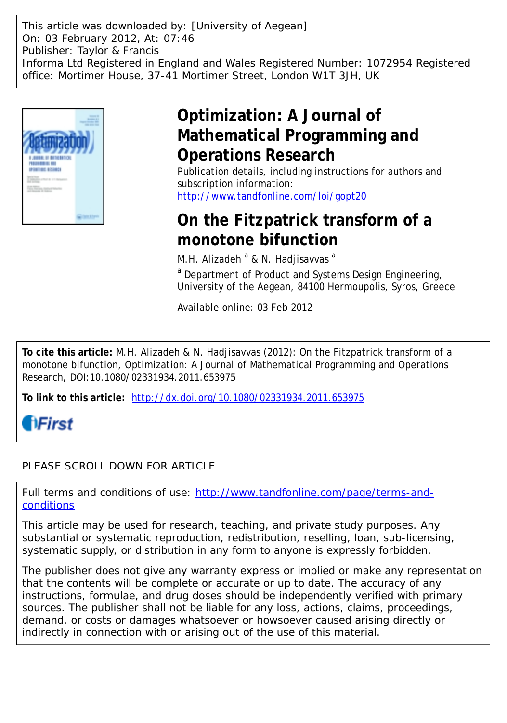This article was downloaded by: [University of Aegean] On: 03 February 2012, At: 07:46 Publisher: Taylor & Francis Informa Ltd Registered in England and Wales Registered Number: 1072954 Registered office: Mortimer House, 37-41 Mortimer Street, London W1T 3JH, UK



# **Optimization: A Journal of Mathematical Programming and Operations Research**

Publication details, including instructions for authors and subscription information: <http://www.tandfonline.com/loi/gopt20>

## **On the Fitzpatrick transform of a monotone bifunction**

M.H. Alizadeh <sup>a</sup> & N. Hadjisavvas <sup>a</sup>

<sup>a</sup> Department of Product and Systems Design Engineering, University of the Aegean, 84100 Hermoupolis, Syros, Greece

Available online: 03 Feb 2012

**To cite this article:** M.H. Alizadeh & N. Hadjisavvas (2012): On the Fitzpatrick transform of a monotone bifunction, Optimization: A Journal of Mathematical Programming and Operations Research, DOI:10.1080/02331934.2011.653975

**To link to this article:** <http://dx.doi.org/10.1080/02331934.2011.653975>



### PLEASE SCROLL DOWN FOR ARTICLE

Full terms and conditions of use: [http://www.tandfonline.com/page/terms-and](http://www.tandfonline.com/page/terms-and-conditions)[conditions](http://www.tandfonline.com/page/terms-and-conditions)

This article may be used for research, teaching, and private study purposes. Any substantial or systematic reproduction, redistribution, reselling, loan, sub-licensing, systematic supply, or distribution in any form to anyone is expressly forbidden.

The publisher does not give any warranty express or implied or make any representation that the contents will be complete or accurate or up to date. The accuracy of any instructions, formulae, and drug doses should be independently verified with primary sources. The publisher shall not be liable for any loss, actions, claims, proceedings, demand, or costs or damages whatsoever or howsoever caused arising directly or indirectly in connection with or arising out of the use of this material.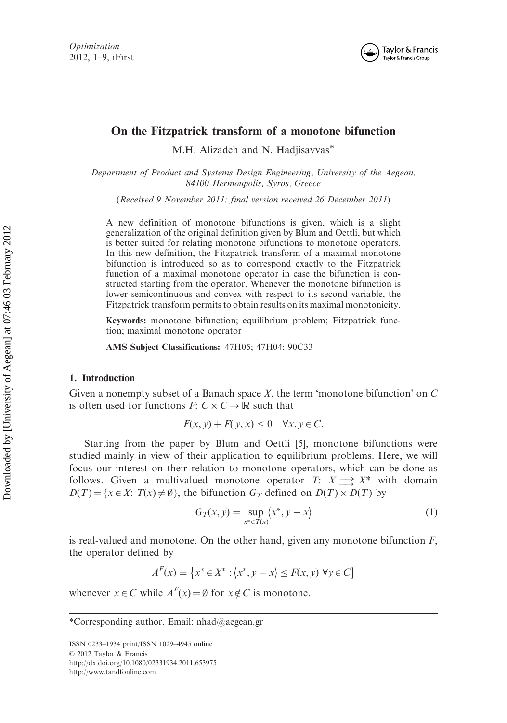

### On the Fitzpatrick transform of a monotone bifunction

M.H. Alizadeh and N. Hadjisavvas\*

Department of Product and Systems Design Engineering, University of the Aegean, 84100 Hermoupolis, Syros, Greece

(Received 9 November 2011; final version received 26 December 2011)

A new definition of monotone bifunctions is given, which is a slight generalization of the original definition given by Blum and Oettli, but which is better suited for relating monotone bifunctions to monotone operators. In this new definition, the Fitzpatrick transform of a maximal monotone bifunction is introduced so as to correspond exactly to the Fitzpatrick function of a maximal monotone operator in case the bifunction is constructed starting from the operator. Whenever the monotone bifunction is lower semicontinuous and convex with respect to its second variable, the Fitzpatrick transform permits to obtain results on its maximal monotonicity.

Keywords: monotone bifunction; equilibrium problem; Fitzpatrick function; maximal monotone operator

AMS Subject Classifications: 47H05; 47H04; 90C33

#### 1. Introduction

Given a nonempty subset of a Banach space  $X$ , the term 'monotone bifunction' on  $C$ is often used for functions  $F: C \times C \rightarrow \mathbb{R}$  such that

$$
F(x, y) + F(y, x) \le 0 \quad \forall x, y \in C.
$$

Starting from the paper by Blum and Oettli [5], monotone bifunctions were studied mainly in view of their application to equilibrium problems. Here, we will focus our interest on their relation to monotone operators, which can be done as follows. Given a multivalued monotone operator  $T: X \longrightarrow X^*$  with domain  $D(T) = \{x \in X: T(x) \neq \emptyset\}$ , the bifunction  $G_T$  defined on  $D(T) \times D(T)$  by

$$
G_T(x, y) = \sup_{x^* \in T(x)} \langle x^*, y - x \rangle \tag{1}
$$

is real-valued and monotone. On the other hand, given any monotone bifunction  $F$ , the operator defined by

$$
A^{F}(x) = \{x^{*} \in X^{*} : \langle x^{*}, y - x \rangle \le F(x, y) \,\forall y \in C\}
$$

whenever  $x \in C$  while  $A^F(x) = \emptyset$  for  $x \notin C$  is monotone.

ISSN 0233–1934 print/ISSN 1029–4945 online © 2012 Taylor & Francis http://dx.doi.org/10.1080/02331934.2011.653975 http://www.tandfonline.com

<sup>\*</sup>Corresponding author. Email: nhad@aegean.gr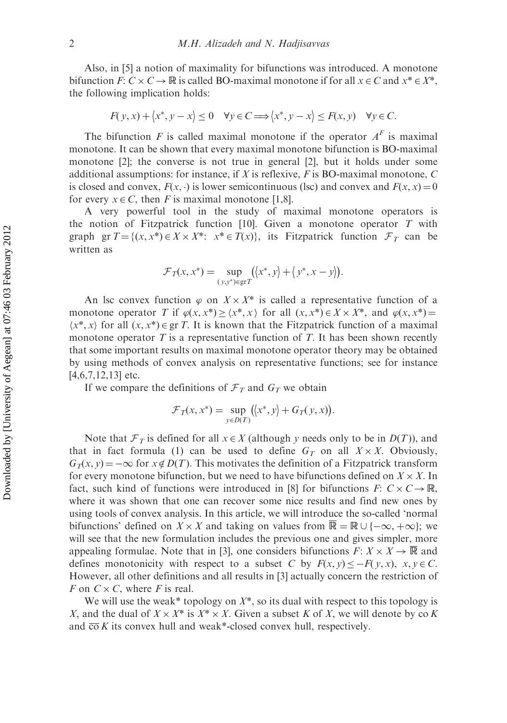Also, in [5] a notion of maximality for bifunctions was introduced. A monotone bifunction F:  $C \times C \rightarrow \mathbb{R}$  is called BO-maximal monotone if for all  $x \in C$  and  $x^* \in X^*$ , the following implication holds:

$$
F(y, x) + \langle x^*, y - x \rangle \le 0 \quad \forall y \in C \Longrightarrow \langle x^*, y - x \rangle \le F(x, y) \quad \forall y \in C.
$$

The bifunction F is called maximal monotone if the operator  $A<sup>F</sup>$  is maximal monotone. It can be shown that every maximal monotone bifunction is BO-maximal monotone [2]; the converse is not true in general [2], but it holds under some additional assumptions: for instance, if X is reflexive, F is BO-maximal monotone, C is closed and convex,  $F(x, \cdot)$  is lower semicontinuous (lsc) and convex and  $F(x, x) = 0$ for every  $x \in C$ , then F is maximal monotone [1,8].

A very powerful tool in the study of maximal monotone operators is the notion of Fitzpatrick function [10]. Given a monotone operator  $T$  with graph gr  $T = \{(x, x^*) \in X \times X^* : x^* \in T(x)\}\$ , its Fitzpatrick function  $\mathcal{F}_T$  can be written as

$$
\mathcal{F}_T(x, x^*) = \sup_{(y, y^*) \in \text{gr } T} (\langle x^*, y \rangle + \langle y^*, x - y \rangle).
$$

An lsc convex function  $\varphi$  on  $X \times X^*$  is called a representative function of a monotone operator T if  $\varphi(x, x^*) \ge \langle x^*, x \rangle$  for all  $(x, x^*) \in X \times X^*$ , and  $\varphi(x, x^*) =$  $\langle x^*, x \rangle$  for all  $(x, x^*) \in \text{gr } T$ . It is known that the Fitzpatrick function of a maximal monotone operator  $T$  is a representative function of  $T$ . It has been shown recently that some important results on maximal monotone operator theory may be obtained by using methods of convex analysis on representative functions; see for instance  $[4,6,7,12,13]$  etc.

If we compare the definitions of  $\mathcal{F}_T$  and  $G_T$  we obtain

$$
\mathcal{F}_T(x, x^*) = \sup_{y \in D(T)} (\langle x^*, y \rangle + G_T(y, x)).
$$

Note that  $\mathcal{F}_T$  is defined for all  $x \in X$  (although y needs only to be in  $D(T)$ ), and that in fact formula (1) can be used to define  $G_T$  on all  $X \times X$ . Obviously,  $G_T(x, y) = -\infty$  for  $x \notin D(T)$ . This motivates the definition of a Fitzpatrick transform for every monotone bifunction, but we need to have bifunctions defined on  $X \times X$ . In fact, such kind of functions were introduced in [8] for bifunctions  $F: C \times C \rightarrow \mathbb{R}$ , where it was shown that one can recover some nice results and find new ones by using tools of convex analysis. In this article, we will introduce the so-called 'normal bifunctions' defined on  $X \times X$  and taking on values from  $\overline{\mathbb{R}} = \mathbb{R} \cup \{-\infty, +\infty\}$ ; we will see that the new formulation includes the previous one and gives simpler, more appealing formulae. Note that in [3], one considers bifunctions  $F: X \times X \to \overline{\mathbb{R}}$  and defines monotonicity with respect to a subset C by  $F(x, y) \leq -F(y, x)$ ,  $x, y \in C$ . However, all other definitions and all results in [3] actually concern the restriction of F on  $C \times C$ , where F is real.

We will use the weak\* topology on  $X^*$ , so its dual with respect to this topology is X, and the dual of  $X \times X^*$  is  $X^* \times X$ . Given a subset K of X, we will denote by co K and  $\overline{co} K$  its convex hull and weak\*-closed convex hull, respectively.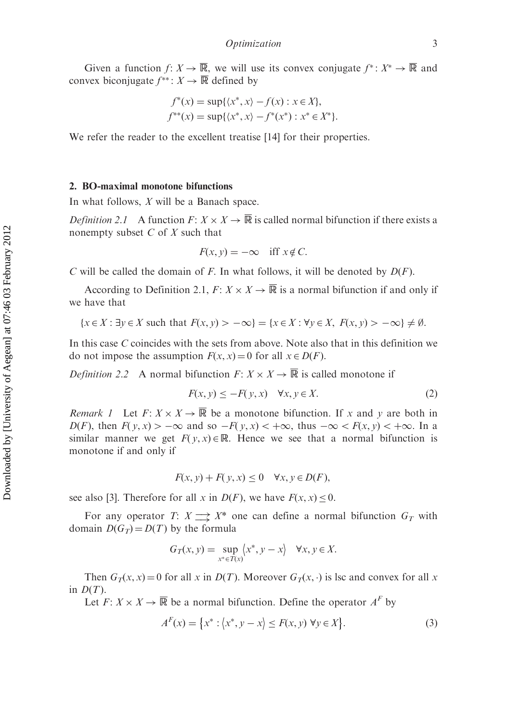Given a function  $f: X \to \overline{\mathbb{R}}$ , we will use its convex conjugate  $f^*: X^* \to \overline{\mathbb{R}}$  and convex biconjugate  $f^{**}$ :  $X \to \overline{\mathbb{R}}$  defined by

$$
f^*(x) = \sup\{\langle x^*, x \rangle - f(x) : x \in X\},\
$$
  

$$
f^{**}(x) = \sup\{\langle x^*, x \rangle - f^*(x^*) : x^* \in X^*\}
$$

We refer the reader to the excellent treatise [14] for their properties.

#### 2. BO-maximal monotone bifunctions

In what follows, X will be a Banach space.

*Definition 2.1* A function  $F: X \times X \to \overline{\mathbb{R}}$  is called normal bifunction if there exists a nonempty subset  $C$  of  $X$  such that

$$
F(x, y) = -\infty \quad \text{iff } x \notin C.
$$

C will be called the domain of F. In what follows, it will be denoted by  $D(F)$ .

According to Definition 2.1,  $F: X \times X \to \overline{\mathbb{R}}$  is a normal bifunction if and only if we have that

$$
\{x \in X : \exists y \in X \text{ such that } F(x, y) > -\infty\} = \{x \in X : \forall y \in X, F(x, y) > -\infty\} \neq \emptyset.
$$

In this case C coincides with the sets from above. Note also that in this definition we do not impose the assumption  $F(x, x) = 0$  for all  $x \in D(F)$ .

*Definition 2.2* A normal bifunction  $F: X \times X \to \overline{\mathbb{R}}$  is called monotone if

$$
F(x, y) \le -F(y, x) \quad \forall x, y \in X. \tag{2}
$$

*Remark 1* Let  $F: X \times X \to \overline{\mathbb{R}}$  be a monotone bifunction. If x and y are both in  $D(F)$ , then  $F(y, x) > -\infty$  and so  $-F(y, x) < +\infty$ , thus  $-\infty < F(x, y) < +\infty$ . In a similar manner we get  $F(y, x) \in \mathbb{R}$ . Hence we see that a normal bifunction is monotone if and only if

$$
F(x, y) + F(y, x) \le 0 \quad \forall x, y \in D(F),
$$

see also [3]. Therefore for all x in  $D(F)$ , we have  $F(x, x) < 0$ .

For any operator T:  $X \rightharpoonup X^*$  one can define a normal bifunction  $G_T$  with domain  $D(G_T) = D(T)$  by the formula

$$
G_T(x, y) = \sup_{x^* \in T(x)} \langle x^*, y - x \rangle \quad \forall x, y \in X.
$$

Then  $G_T(x, x) = 0$  for all x in  $D(T)$ . Moreover  $G_T(x, \cdot)$  is lsc and convex for all x in  $D(T)$ .

Let  $F: X \times X \to \overline{\mathbb{R}}$  be a normal bifunction. Define the operator  $A^F$  by

$$
A^{F}(x) = \{x^* : \langle x^*, y - x \rangle \le F(x, y) \,\forall y \in X\}.
$$
 (3)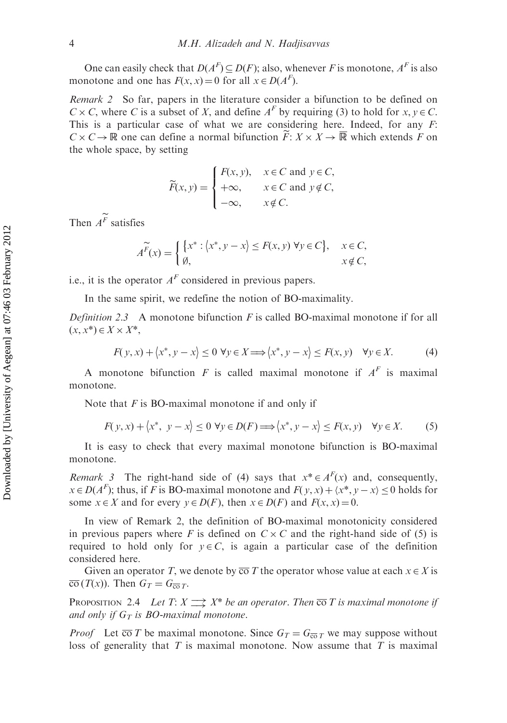One can easily check that  $D(A^F) \subseteq D(F)$ ; also, whenever F is monotone,  $A^F$  is also monotone and one has  $F(x, x) = 0$  for all  $x \in D(A^F)$ .

Remark 2 So far, papers in the literature consider a bifunction to be defined on  $C \times C$ , where C is a subset of X, and define  $A<sup>F</sup>$  by requiring (3) to hold for  $x, y \in C$ . This is a particular case of what we are considering here. Indeed, for any  $F$ :  $C \times C \to \mathbb{R}$  one can define a normal bifunction  $\widetilde{F}: X \times X \to \overline{\mathbb{R}}$  which extends F on the whole space, by setting

$$
\widetilde{F}(x, y) = \begin{cases}\nF(x, y), & x \in C \text{ and } y \in C, \\
+\infty, & x \in C \text{ and } y \notin C, \\
-\infty, & x \notin C.\n\end{cases}
$$

Then  $A^{\widetilde{F}}$  satisfies

$$
A^{\widetilde{F}}(x) = \begin{cases} \{x^* : \langle x^*, y - x \rangle \le F(x, y) \,\,\forall y \in C\}, & x \in C, \\ \emptyset, & x \notin C, \end{cases}
$$

i.e., it is the operator  $A<sup>F</sup>$  considered in previous papers.

In the same spirit, we redefine the notion of BO-maximality.

*Definition 2.3* A monotone bifunction  $F$  is called BO-maximal monotone if for all  $(x, x^*) \in X \times X^*$ 

$$
F(y, x) + \langle x^*, y - x \rangle \le 0 \,\,\forall y \in X \Longrightarrow \langle x^*, y - x \rangle \le F(x, y) \quad \forall y \in X. \tag{4}
$$

A monotone bifunction F is called maximal monotone if  $A<sup>F</sup>$  is maximal monotone.

Note that  $F$  is BO-maximal monotone if and only if

$$
F(y, x) + \langle x^*, y - x \rangle \le 0 \ \forall y \in D(F) \Longrightarrow \langle x^*, y - x \rangle \le F(x, y) \quad \forall y \in X. \tag{5}
$$

It is easy to check that every maximal monotone bifunction is BO-maximal monotone.

*Remark 3* The right-hand side of (4) says that  $x^* \in A^F(x)$  and, consequently,  $x \in D(A^F)$ ; thus, if F is BO-maximal monotone and  $F(y, x) + \langle x^*, y - x \rangle \le 0$  holds for some  $x \in X$  and for every  $y \in D(F)$ , then  $x \in D(F)$  and  $F(x, x) = 0$ .

In view of Remark 2, the definition of BO-maximal monotonicity considered in previous papers where F is defined on  $C \times C$  and the right-hand side of (5) is required to hold only for  $y \in C$ , is again a particular case of the definition considered here.

Given an operator T, we denote by  $\overline{co}T$  the operator whose value at each  $x \in X$  is  $\overline{\text{co}}(T(x))$ . Then  $G_T = G_{\overline{\text{co}}T}$ .

**PROPOSITION** 2.4 Let  $T: X \longrightarrow X^*$  be an operator. Then  $\overline{co} T$  is maximal monotone if and only if  $G_T$  is BO-maximal monotone.

*Proof* Let  $\overline{co}T$  be maximal monotone. Since  $G_T = G_{\overline{co}T}$  we may suppose without loss of generality that  $T$  is maximal monotone. Now assume that  $T$  is maximal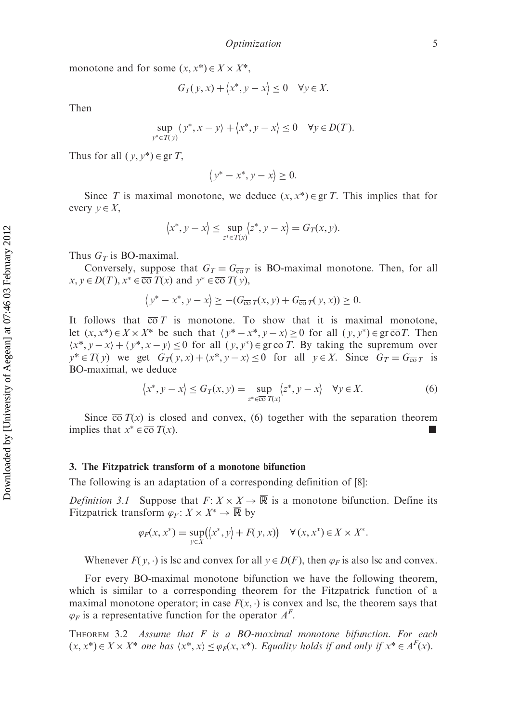monotone and for some  $(x, x^*) \in X \times X^*$ ,

$$
G_T(y, x) + \langle x^*, y - x \rangle \le 0 \quad \forall y \in X.
$$

Then

$$
\sup_{y^* \in T(y)} \langle y^*, x - y \rangle + \langle x^*, y - x \rangle \le 0 \quad \forall y \in D(T).
$$

Thus for all  $(y, y^*) \in \text{gr } T$ ,

$$
\langle y^* - x^*, y - x \rangle \ge 0.
$$

Since T is maximal monotone, we deduce  $(x, x^*) \in \text{gr } T$ . This implies that for every  $v \in X$ ,

$$
\langle x^*, y - x \rangle \le \sup_{z^* \in T(x)} \langle z^*, y - x \rangle = G_T(x, y).
$$

Thus  $G_T$  is BO-maximal.

Conversely, suppose that  $G_T = G_{\overline{\omega}_T}$  is BO-maximal monotone. Then, for all  $x, y \in D(T), x^* \in \overline{\text{co}} T(x)$  and  $y^* \in \overline{\text{co}} T(y)$ ,

$$
\left\langle y^* - x^*, y - x \right\rangle \geq -(G_{\overline{\text{co}}} \, t(x, y) + G_{\overline{\text{co}}} \, t(y, x)) \geq 0.
$$

It follows that  $\overline{co} T$  is monotone. To show that it is maximal monotone, let  $(x, x^*) \in X \times X^*$  be such that  $\langle y^* - x^*, y - x \rangle \ge 0$  for all  $(y, y^*) \in \text{gr } \overline{\text{co}} T$ . Then  $\langle x^*, y - x \rangle + \langle y^*, x - y \rangle \leq 0$  for all  $(y, y^*) \in \text{gr } \overline{\text{co }} T$ . By taking the supremum over  $y^* \in T(y)$  we get  $G_T(y, x) + \langle x^*, y - x \rangle \le 0$  for all  $y \in X$ . Since  $G_T = G_{\overline{\text{co}}T}$  is BO-maximal, we deduce

$$
\langle x^*, y - x \rangle \le G_T(x, y) = \sup_{z^* \in \overline{\text{co}} \ T(x)} \langle z^*, y - x \rangle \quad \forall y \in X. \tag{6}
$$

Since  $\overline{co} T(x)$  is closed and convex, (6) together with the separation theorem implies that  $x^* \in \overline{co} T(x)$ .

#### 3. The Fitzpatrick transform of a monotone bifunction

The following is an adaptation of a corresponding definition of [8]:

*Definition 3.1* Suppose that  $F: X \times X \to \overline{\mathbb{R}}$  is a monotone bifunction. Define its Fitzpatrick transform  $\varphi_F : X \times X^* \to \overline{\mathbb{R}}$  by

$$
\varphi_F(x, x^*) = \sup_{y \in X} (\langle x^*, y \rangle + F(y, x)) \quad \forall (x, x^*) \in X \times X^*.
$$

Whenever  $F(y, \cdot)$  is lsc and convex for all  $y \in D(F)$ , then  $\varphi_F$  is also lsc and convex.

For every BO-maximal monotone bifunction we have the following theorem, which is similar to a corresponding theorem for the Fitzpatrick function of a maximal monotone operator; in case  $F(x, \cdot)$  is convex and lsc, the theorem says that  $\varphi_F$  is a representative function for the operator  $A^F$ .

THEOREM 3.2 Assume that  $F$  is a BO-maximal monotone bifunction. For each  $(x, x^*) \in X \times X^*$  one has  $\langle x^*, x \rangle \leq \varphi_F(x, x^*)$ . Equality holds if and only if  $x^* \in A^F(x)$ .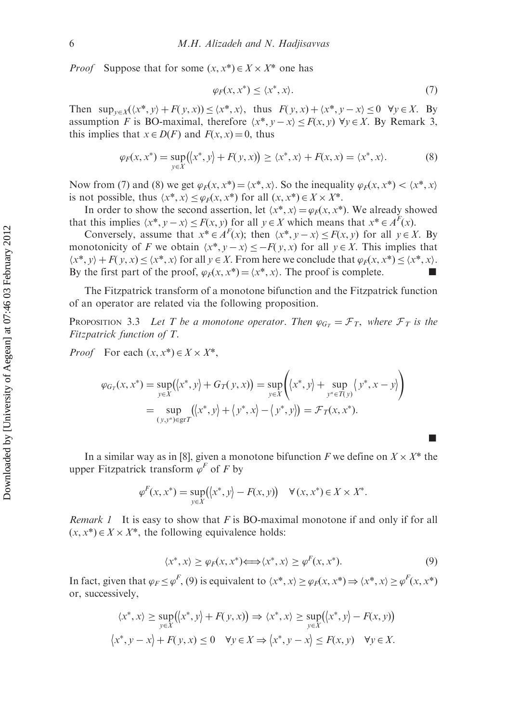*Proof* Suppose that for some  $(x, x^*) \in X \times X^*$  one has

$$
\varphi_F(x, x^*) \le \langle x^*, x \rangle. \tag{7}
$$

Then  $\sup_{y\in X}(\langle x^*, y\rangle + F(y, x)) \leq \langle x^*, x\rangle$ , thus  $F(y, x) + \langle x^*, y - x\rangle \leq 0 \quad \forall y \in X$ . By assumption F is BO-maximal, therefore  $\langle x^*, y - x \rangle \langle F(x, y) \rangle \forall y \in X$ . By Remark 3, this implies that  $x \in D(F)$  and  $F(x, x) = 0$ , thus

$$
\varphi_F(x, x^*) = \sup_{y \in X} (\langle x^*, y \rangle + F(y, x)) \ge \langle x^*, x \rangle + F(x, x) = \langle x^*, x \rangle. \tag{8}
$$

Now from (7) and (8) we get  $\varphi_F(x, x^*) = \langle x^*, x \rangle$ . So the inequality  $\varphi_F(x, x^*) < \langle x^*, x \rangle$ is not possible, thus  $\langle x^*, x \rangle \le \varphi_F(x, x^*)$  for all  $(x, x^*) \in X \times X^*$ .

In order to show the second assertion, let  $\langle x^*, x \rangle = \varphi_F(x, x^*)$ . We already showed that this implies  $\langle x^*, y - x \rangle \le F(x, y)$  for all  $y \in X$  which means that  $x^* \in A^F(x)$ .

Conversely, assume that  $x^* \in A^F(x)$ ; then  $\langle x^*, y - x \rangle \leq F(x, y)$  for all  $y \in X$ . By monotonicity of F we obtain  $\langle x^*, y - x \rangle \leq -F(y, x)$  for all  $y \in X$ . This implies that  $\langle x^*, y \rangle + F(y, x) \leq \langle x^*, x \rangle$  for all  $y \in X$ . From here we conclude that  $\varphi_F(x, x^*) \leq \langle x^*, x \rangle$ . By the first part of the proof,  $\varphi_F(x, x^*) = \langle x^*, x \rangle$ . The proof is complete.

The Fitzpatrick transform of a monotone bifunction and the Fitzpatrick function of an operator are related via the following proposition.

**PROPOSITION** 3.3 Let T be a monotone operator. Then  $\varphi_{G_T} = \mathcal{F}_T$ , where  $\mathcal{F}_T$  is the Fitzpatrick function of T.

*Proof* For each  $(x, x^*) \in X \times X^*$ ,

$$
\varphi_{G_T}(x, x^*) = \sup_{y \in X} (\langle x^*, y \rangle + G_T(y, x)) = \sup_{y \in X} \left( \langle x^*, y \rangle + \sup_{y^* \in T(y)} \langle y^*, x - y \rangle \right)
$$
  
= 
$$
\sup_{(y, y^*) \in \text{gr } T} (\langle x^*, y \rangle + \langle y^*, x \rangle - \langle y^*, y \rangle) = \mathcal{F}_T(x, x^*).
$$

In a similar way as in [8], given a monotone bifunction F we define on  $X \times X^*$  the upper Fitzpatrick transform  $\varphi^F$  of F by

$$
\varphi^F(x, x^*) = \sup_{y \in X} (\langle x^*, y \rangle - F(x, y)) \quad \forall (x, x^*) \in X \times X^*.
$$

*Remark 1* It is easy to show that  $F$  is BO-maximal monotone if and only if for all  $(x, x^*) \in X \times X^*$ , the following equivalence holds:

$$
\langle x^*, x \rangle \ge \varphi_F(x, x^*) \Longleftrightarrow \langle x^*, x \rangle \ge \varphi^F(x, x^*). \tag{9}
$$

g

In fact, given that  $\varphi_F \le \varphi^F$ , (9) is equivalent to  $\langle x^*, x \rangle \ge \varphi_F(x, x^*) \Rightarrow \langle x^*, x \rangle \ge \varphi^F(x, x^*)$ or, successively,

$$
\langle x^*, x \rangle \ge \sup_{y \in X} (\langle x^*, y \rangle + F(y, x)) \Rightarrow \langle x^*, x \rangle \ge \sup_{y \in X} (\langle x^*, y \rangle - F(x, y))
$$
  

$$
\langle x^*, y - x \rangle + F(y, x) \le 0 \quad \forall y \in X \Rightarrow \langle x^*, y - x \rangle \le F(x, y) \quad \forall y \in X.
$$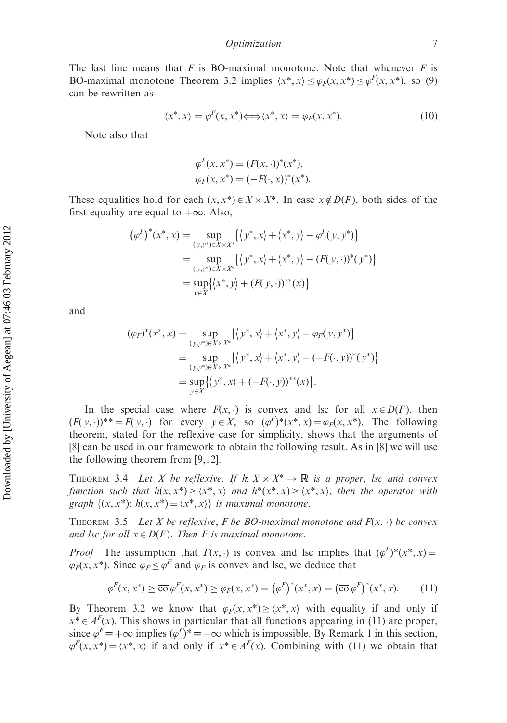The last line means that  $F$  is BO-maximal monotone. Note that whenever  $F$  is BO-maximal monotone Theorem 3.2 implies  $\langle x^*, x \rangle \le \varphi_F(x, x^*) \le \varphi_F(x, x^*)$ , so (9) can be rewritten as

$$
\langle x^*, x \rangle = \varphi^F(x, x^*) \Longleftrightarrow \langle x^*, x \rangle = \varphi_F(x, x^*). \tag{10}
$$

Note also that

$$
\varphi^{F}(x, x^{*}) = (F(x, \cdot))^{*}(x^{*}),
$$
  

$$
\varphi_{F}(x, x^{*}) = (-F(\cdot, x))^{*}(x^{*}).
$$

These equalities hold for each  $(x, x^*) \in X \times X^*$ . In case  $x \notin D(F)$ , both sides of the first equality are equal to  $+\infty$ . Also,

$$
(\varphi^F)^*(x^*, x) = \sup_{(y, y^*) \in X \times X^*} \{ \langle y^*, x \rangle + \langle x^*, y \rangle - \varphi^F(y, y^*) \}
$$
  
= 
$$
\sup_{(y, y^*) \in X \times X^*} \{ \langle y^*, x \rangle + \langle x^*, y \rangle - (F(y, \cdot))^*(y^*) \}
$$
  
= 
$$
\sup_{y \in X} \{ \langle x^*, y \rangle + (F(y, \cdot))^{**}(x) \}
$$

and

$$
(\varphi_F)^*(x^*, x) = \sup_{(y, y^*) \in X \times X^*} \{ \langle y^*, x \rangle + \langle x^*, y \rangle - \varphi_F(y, y^*) \}
$$
  
= 
$$
\sup_{(y, y^*) \in X \times X^*} \{ \langle y^*, x \rangle + \langle x^*, y \rangle - (-F(\cdot, y))^*(y^*) \}
$$
  
= 
$$
\sup_{y \in X} \{ \langle y^*, x \rangle + (-F(\cdot, y))^{**}(x) \}.
$$

In the special case where  $F(x, \cdot)$  is convex and lsc for all  $x \in D(F)$ , then  $(F(y, \cdot))^{\ast \ast} = F(y, \cdot)$  for every  $y \in X$ , so  $(\varphi^F)^{\ast}(x^{\ast}, x) = \varphi_F(x, x^{\ast})$ . The following theorem, stated for the reflexive case for simplicity, shows that the arguments of [8] can be used in our framework to obtain the following result. As in [8] we will use the following theorem from [9,12].

THEOREM 3.4 Let X be reflexive. If  $h: X \times X^* \to \overline{\mathbb{R}}$  is a proper, lsc and convex function such that  $h(x, x^*) \geq \langle x^*, x \rangle$  and  $h^*(x^*, x) \geq \langle x^*, x \rangle$ , then the operator with graph  $\{(x, x^*) : h(x, x^*) = \langle x^*, x \rangle\}$  is maximal monotone.

THEOREM 3.5 Let X be reflexive, F be BO-maximal monotone and  $F(x, \cdot)$  be convex and lsc for all  $x \in D(F)$ . Then F is maximal monotone.

*Proof* The assumption that  $F(x, \cdot)$  is convex and lsc implies that  $(\varphi^F)^*(x^*, x) =$  $\varphi_F(x, x^*)$ . Since  $\varphi_F \leq \varphi^F$  and  $\varphi_F$  is convex and lsc, we deduce that

$$
\varphi^F(x, x^*) \ge \overline{\text{co}}\,\varphi^F(x, x^*) \ge \varphi_F(x, x^*) = (\varphi^F)^*(x^*, x) = (\overline{\text{co}}\,\varphi^F)^*(x^*, x). \tag{11}
$$

By Theorem 3.2 we know that  $\varphi_F(x, x^*) > \langle x^*, x \rangle$  with equality if and only if  $x^* \in A^F(x)$ . This shows in particular that all functions appearing in (11) are proper, since  $\varphi^F = +\infty$  implies  $(\varphi^F)^* = -\infty$  which is impossible. By Remark 1 in this section,  $\varphi^F(x, x^*) = \langle x^*, x \rangle$  if and only if  $x^* \in A^F(x)$ . Combining with (11) we obtain that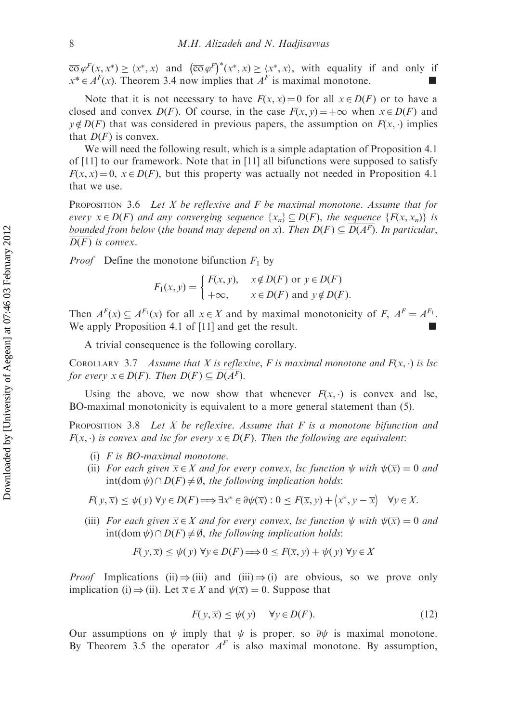$\overline{\cos \varphi}^F(x, x^*) \ge \langle x^*, x \rangle$  and  $(\overline{\cos \varphi}^F)^*(x^*, x) \ge \langle x^*, x \rangle$ , with equality if and only if  $x^* \in A^F(x)$ . Theorem 3.4 now implies that  $A^F$  is maximal monotone.

Note that it is not necessary to have  $F(x, x) = 0$  for all  $x \in D(F)$  or to have a closed and convex  $D(F)$ . Of course, in the case  $F(x, y) = +\infty$  when  $x \in D(F)$  and  $y \notin D(F)$  that was considered in previous papers, the assumption on  $F(x, \cdot)$  implies that  $D(F)$  is convex.

We will need the following result, which is a simple adaptation of Proposition 4.1 of [11] to our framework. Note that in [11] all bifunctions were supposed to satisfy  $F(x, x) = 0$ ,  $x \in D(F)$ , but this property was actually not needed in Proposition 4.1 that we use.

**PROPOSITION** 3.6 Let X be reflexive and F be maximal monotone. Assume that for every  $x \in D(F)$  and any converging sequence  $\{x_n\} \subseteq D(F)$ , the sequence  $\{F(x, x_n)\}\$ is bounded from below (the bound may depend on x). Then  $D(F) \subseteq \overline{D(A^F)}$ . In particular,  $D(F)$  is convex.

*Proof* Define the monotone bifunction  $F_1$  by

$$
F_1(x, y) = \begin{cases} F(x, y), & x \notin D(F) \text{ or } y \in D(F) \\ +\infty, & x \in D(F) \text{ and } y \notin D(F). \end{cases}
$$

Then  $A^F(x) \subseteq A^{F_1}(x)$  for all  $x \in X$  and by maximal monotonicity of F,  $A^F = A^{F_1}$ . We apply Proposition 4.1 of  $[11]$  and get the result.

A trivial consequence is the following corollary.

COROLLARY 3.7 Assume that X is reflexive, F is maximal monotone and  $F(x, \cdot)$  is lsc for every  $x \in D(F)$ . Then  $D(F) \subseteq D(A^F)$ .

Using the above, we now show that whenever  $F(x, \cdot)$  is convex and lsc, BO-maximal monotonicity is equivalent to a more general statement than (5).

**PROPOSITION** 3.8 Let X be reflexive. Assume that F is a monotone bifunction and  $F(x, \cdot)$  is convex and lsc for every  $x \in D(F)$ . Then the following are equivalent:

- (i) F is BO-maximal monotone.
- (ii) For each given  $\overline{x} \in X$  and for every convex, lsc function  $\psi$  with  $\psi(\overline{x}) = 0$  and  $int(\text{dom }\psi) \cap D(F) \neq \emptyset$ , the following implication holds:

$$
F(y,\overline{x}) \le \psi(y) \,\forall y \in D(F) \Longrightarrow \exists x^* \in \partial \psi(\overline{x}) : 0 \le F(\overline{x},y) + \langle x^*, y - \overline{x} \rangle \quad \forall y \in X.
$$

(iii) For each given  $\overline{x} \in X$  and for every convex, lsc function  $\psi$  with  $\psi(\overline{x}) = 0$  and  $\text{int}(\text{dom }\psi) \cap D(F) \neq \emptyset$ , the following implication holds:

$$
F(y, \overline{x}) \le \psi(y) \,\forall y \in D(F) \Longrightarrow 0 \le F(\overline{x}, y) + \psi(y) \,\forall y \in X
$$

*Proof* Implications (ii)  $\Rightarrow$  (iii) and (iii)  $\Rightarrow$  (i) are obvious, so we prove only implication (i)  $\Rightarrow$  (ii). Let  $\overline{x} \in X$  and  $\psi(\overline{x}) = 0$ . Suppose that

$$
F(y, \overline{x}) \le \psi(y) \quad \forall y \in D(F). \tag{12}
$$

Our assumptions on  $\psi$  imply that  $\psi$  is proper, so  $\partial \psi$  is maximal monotone. By Theorem 3.5 the operator  $A<sup>F</sup>$  is also maximal monotone. By assumption,